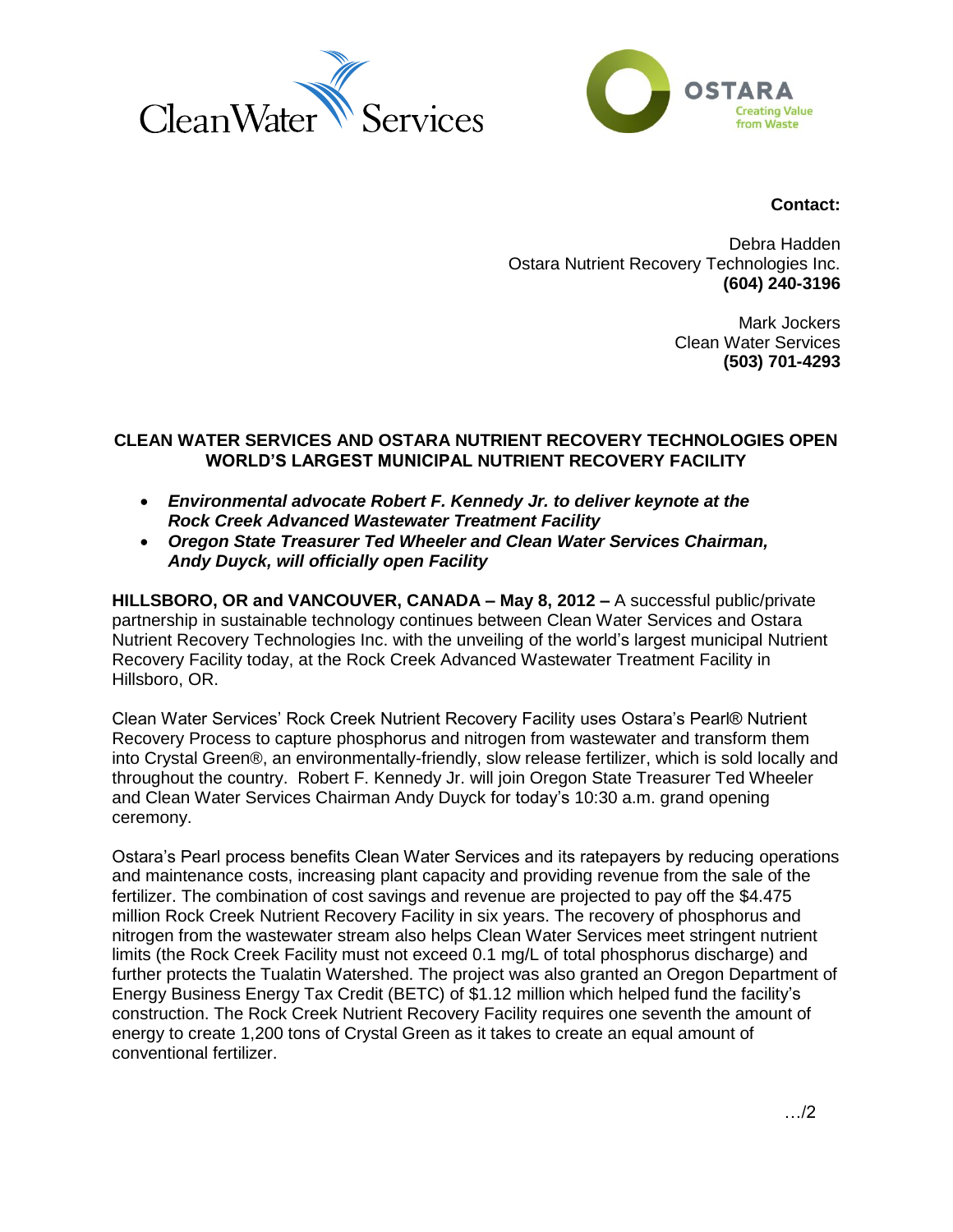



**Contact:**

Debra Hadden Ostara Nutrient Recovery Technologies Inc. **(604) 240-3196**

> Mark Jockers Clean Water Services **(503) 701-4293**

## **CLEAN WATER SERVICES AND OSTARA NUTRIENT RECOVERY TECHNOLOGIES OPEN WORLD'S LARGEST MUNICIPAL NUTRIENT RECOVERY FACILITY**

- *Environmental advocate Robert F. Kennedy Jr. to deliver keynote at the Rock Creek Advanced Wastewater Treatment Facility*
- *Oregon State Treasurer Ted Wheeler and Clean Water Services Chairman, Andy Duyck, will officially open Facility*

**HILLSBORO, OR and VANCOUVER, CANADA – May 8, 2012 –** A successful public/private partnership in sustainable technology continues between Clean Water Services and Ostara Nutrient Recovery Technologies Inc. with the unveiling of the world's largest municipal Nutrient Recovery Facility today, at the Rock Creek Advanced Wastewater Treatment Facility in Hillsboro, OR.

Clean Water Services' Rock Creek Nutrient Recovery Facility uses Ostara's Pearl® Nutrient Recovery Process to capture phosphorus and nitrogen from wastewater and transform them into Crystal Green®, an environmentally-friendly, slow release fertilizer, which is sold locally and throughout the country. Robert F. Kennedy Jr. will join Oregon State Treasurer Ted Wheeler and Clean Water Services Chairman Andy Duyck for today's 10:30 a.m. grand opening ceremony.

Ostara's Pearl process benefits Clean Water Services and its ratepayers by reducing operations and maintenance costs, increasing plant capacity and providing revenue from the sale of the fertilizer. The combination of cost savings and revenue are projected to pay off the \$4.475 million Rock Creek Nutrient Recovery Facility in six years. The recovery of phosphorus and nitrogen from the wastewater stream also helps Clean Water Services meet stringent nutrient limits (the Rock Creek Facility must not exceed 0.1 mg/L of total phosphorus discharge) and further protects the Tualatin Watershed. The project was also granted an Oregon Department of Energy Business Energy Tax Credit (BETC) of \$1.12 million which helped fund the facility's construction. The Rock Creek Nutrient Recovery Facility requires one seventh the amount of energy to create 1,200 tons of Crystal Green as it takes to create an equal amount of conventional fertilizer.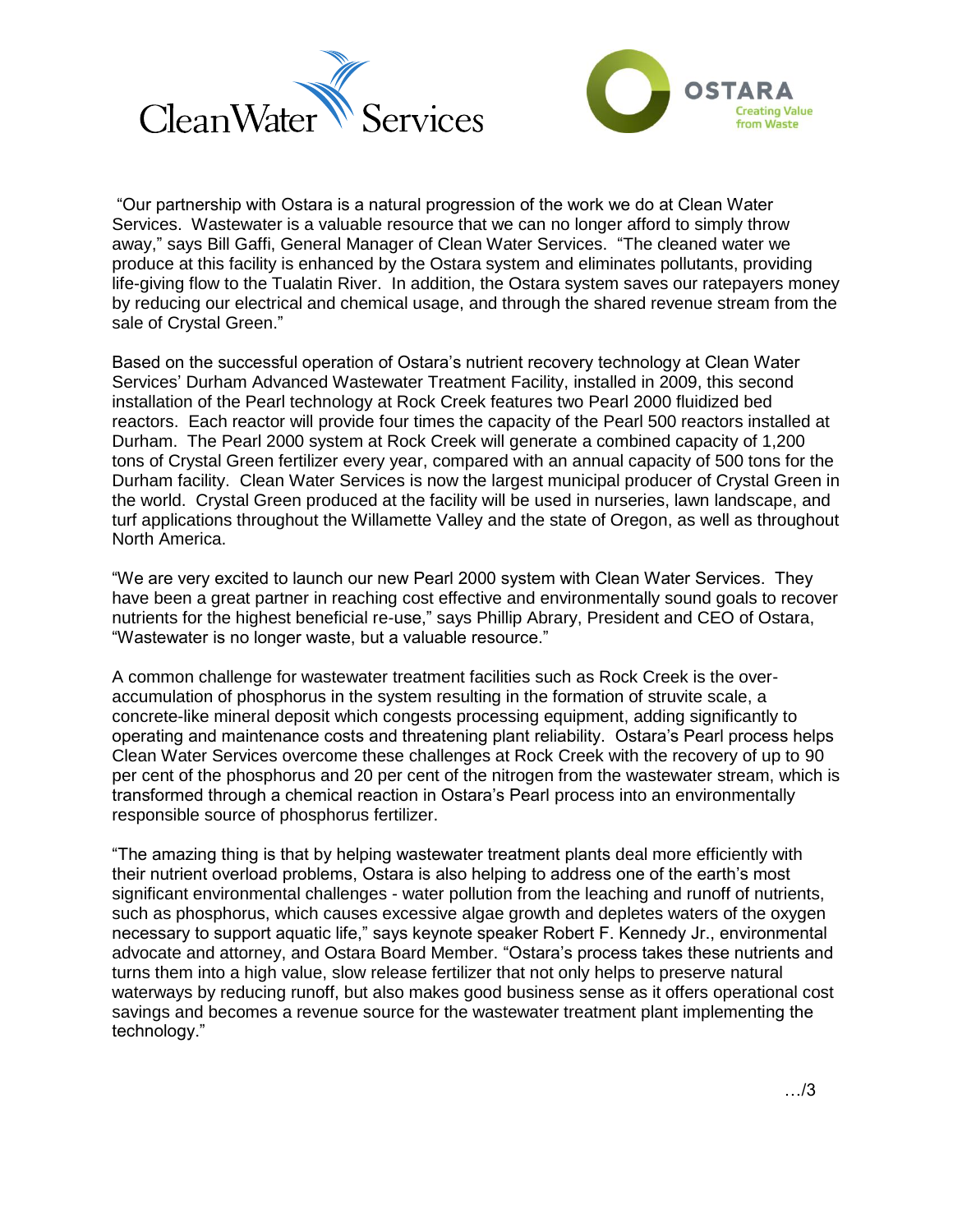



"Our partnership with Ostara is a natural progression of the work we do at Clean Water Services. Wastewater is a valuable resource that we can no longer afford to simply throw away," says Bill Gaffi, General Manager of Clean Water Services. "The cleaned water we produce at this facility is enhanced by the Ostara system and eliminates pollutants, providing life-giving flow to the Tualatin River. In addition, the Ostara system saves our ratepayers money by reducing our electrical and chemical usage, and through the shared revenue stream from the sale of Crystal Green."

Based on the successful operation of Ostara's nutrient recovery technology at Clean Water Services' Durham Advanced Wastewater Treatment Facility, installed in 2009, this second installation of the Pearl technology at Rock Creek features two Pearl 2000 fluidized bed reactors. Each reactor will provide four times the capacity of the Pearl 500 reactors installed at Durham. The Pearl 2000 system at Rock Creek will generate a combined capacity of 1,200 tons of Crystal Green fertilizer every year, compared with an annual capacity of 500 tons for the Durham facility. Clean Water Services is now the largest municipal producer of Crystal Green in the world. Crystal Green produced at the facility will be used in nurseries, lawn landscape, and turf applications throughout the Willamette Valley and the state of Oregon, as well as throughout North America.

"We are very excited to launch our new Pearl 2000 system with Clean Water Services. They have been a great partner in reaching cost effective and environmentally sound goals to recover nutrients for the highest beneficial re-use," says Phillip Abrary, President and CEO of Ostara, "Wastewater is no longer waste, but a valuable resource."

A common challenge for wastewater treatment facilities such as Rock Creek is the overaccumulation of phosphorus in the system resulting in the formation of struvite scale, a concrete-like mineral deposit which congests processing equipment, adding significantly to operating and maintenance costs and threatening plant reliability. Ostara's Pearl process helps Clean Water Services overcome these challenges at Rock Creek with the recovery of up to 90 per cent of the phosphorus and 20 per cent of the nitrogen from the wastewater stream, which is transformed through a chemical reaction in Ostara's Pearl process into an environmentally responsible source of phosphorus fertilizer.

"The amazing thing is that by helping wastewater treatment plants deal more efficiently with their nutrient overload problems, Ostara is also helping to address one of the earth's most significant environmental challenges - water pollution from the leaching and runoff of nutrients, such as phosphorus, which causes excessive algae growth and depletes waters of the oxygen necessary to support aquatic life," says keynote speaker Robert F. Kennedy Jr., environmental advocate and attorney, and Ostara Board Member. "Ostara's process takes these nutrients and turns them into a high value, slow release fertilizer that not only helps to preserve natural waterways by reducing runoff, but also makes good business sense as it offers operational cost savings and becomes a revenue source for the wastewater treatment plant implementing the technology."